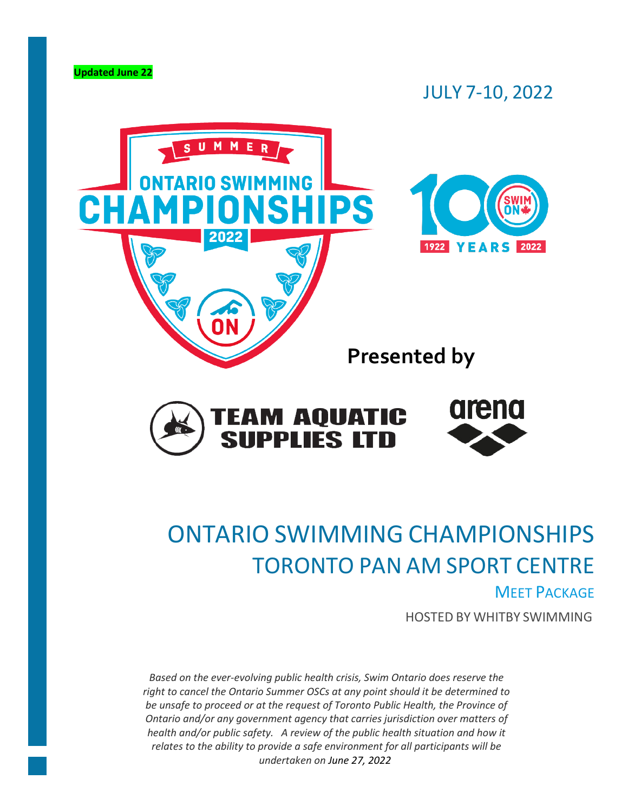

# JULY 7-10, 2022



# ONTARIO SWIMMING CHAMPIONSHIPS TORONTO PAN AM SPORT CENTRE

# **MEET PACKAGE**

HOSTED BY WHITBY SWIMMING

*Based on the ever-evolving public health crisis, Swim Ontario does reserve the right to cancel the Ontario Summer OSCs at any point should it be determined to be unsafe to proceed or at the request of Toronto Public Health, the Province of Ontario and/or any government agency that carries jurisdiction over matters of health and/or public safety. A review of the public health situation and how it relates to the ability to provide a safe environment for all participants will be undertaken on June 27, 2022.*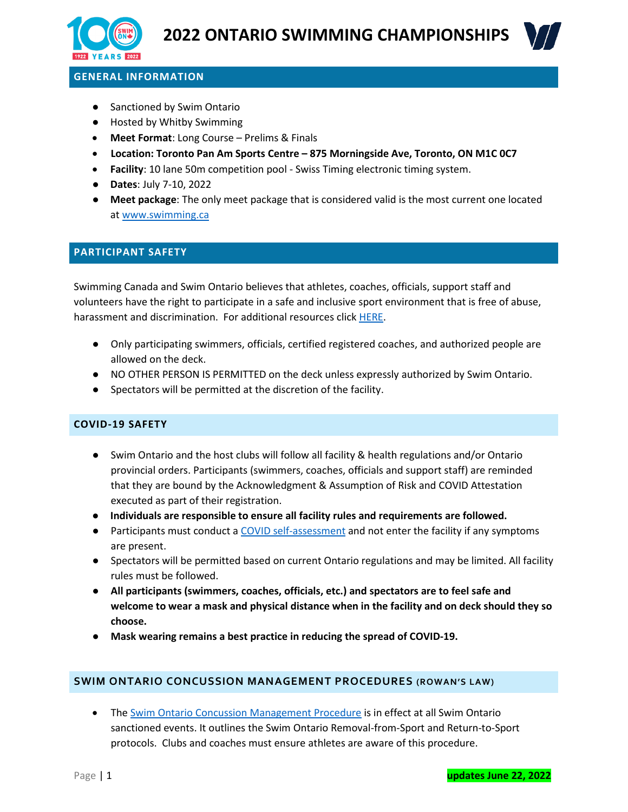



# **GENERAL INFORMATION**

- Sanctioned by Swim Ontario
- Hosted by Whitby Swimming
- **Meet Format**: Long Course Prelims & Finals
- **Location: Toronto Pan Am Sports Centre – 875 Morningside Ave, Toronto, ON M1C 0C7**
- **Facility**: 10 lane 50m competition pool Swiss Timing electronic timing system.
- **Dates**: July 7-10, 2022
- **Meet package**: The only meet package that is considered valid is the most current one located at [www.swimming.ca](http://www.swimming.ca/)

### **PARTICIPANT SAFETY**

Swimming Canada and Swim Ontario believes that athletes, coaches, officials, support staff and volunteers have the right to participate in a safe and inclusive sport environment that is free of abuse, harassment and discrimination. For additional resources click [HERE.](https://drive.google.com/file/d/1aJ74cmN9IyOsEZqzXIYh1NBacDtSTjtE/view?usp=sharing)

- Only participating swimmers, officials, certified registered coaches, and authorized people are allowed on the deck.
- NO OTHER PERSON IS PERMITTED on the deck unless expressly authorized by Swim Ontario.
- Spectators will be permitted at the discretion of the facility.

#### **COVID-19 SAFETY**

- Swim Ontario and the host clubs will follow all facility & health regulations and/or Ontario provincial orders. Participants (swimmers, coaches, officials and support staff) are reminded that they are bound by the Acknowledgment & Assumption of Risk and COVID Attestation executed as part of their registration.
- **Individuals are responsible to ensure all facility rules and requirements are followed.**
- Participants must conduct a [COVID self-assessment](https://covid-19.ontario.ca/self-assessment/) and not enter the facility if any symptoms are present.
- Spectators will be permitted based on current Ontario regulations and may be limited. All facility rules must be followed.
- **All participants (swimmers, coaches, officials, etc.) and spectators are to feel safe and welcome to wear a mask and physical distance when in the facility and on deck should they so choose.**
- **Mask wearing remains a best practice in reducing the spread of COVID-19.**

#### **SWIM ONTARIO CONCUSSION MANAGEMENT PROCEDURES (ROWAN'S LAW)**

• The [Swim Ontario Concussion Management Procedure](https://drive.google.com/file/d/1_qO0ewhENDg56ss11MNbo6EKHtuSJFHo/view?usp=sharing) is in effect at all Swim Ontario sanctioned events. It outlines the Swim Ontario Removal-from-Sport and Return-to-Sport protocols. Clubs and coaches must ensure athletes are aware of this procedure.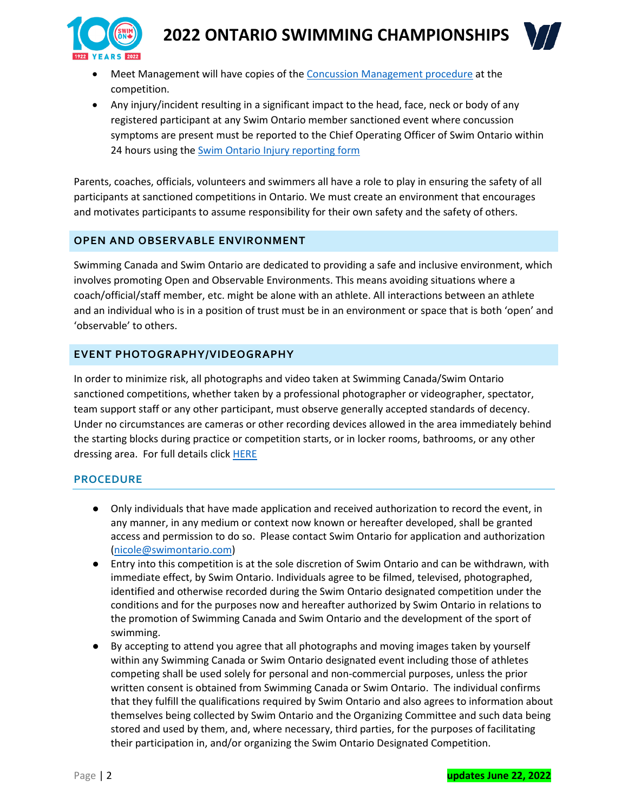

- Meet Management will have copies of the [Concussion Management procedure](https://drive.google.com/file/d/1_qO0ewhENDg56ss11MNbo6EKHtuSJFHo/view?usp=sharing) at the competition.
- Any injury/incident resulting in a significant impact to the head, face, neck or body of any registered participant at any Swim Ontario member sanctioned event where concussion symptoms are present must be reported to the Chief Operating Officer of Swim Ontario within 24 hours using the [Swim Ontario Injury reporting form](https://form.jotform.com/SwimOntario/injury-or-concussion-report)

Parents, coaches, officials, volunteers and swimmers all have a role to play in ensuring the safety of all participants at sanctioned competitions in Ontario. We must create an environment that encourages and motivates participants to assume responsibility for their own safety and the safety of others.

# **OPEN AND OBSERVABLE ENVIRONMENT**

Swimming Canada and Swim Ontario are dedicated to providing a safe and inclusive environment, which involves promoting Open and Observable Environments. This means avoiding situations where a coach/official/staff member, etc. might be alone with an athlete. All interactions between an athlete and an individual who is in a position of trust must be in an environment or space that is both 'open' and 'observable' to others.

# **EVENT PHOTOGRAPHY/VIDEOGRAPHY**

In order to minimize risk, all photographs and video taken at Swimming Canada/Swim Ontario sanctioned competitions, whether taken by a professional photographer or videographer, spectator, team support staff or any other participant, must observe generally accepted standards of decency. Under no circumstances are cameras or other recording devices allowed in the area immediately behind the starting blocks during practice or competition starts, or in locker rooms, bathrooms, or any other dressing area. For full details click **[HERE](https://swimming.ca/content/uploads/2016/10/2016_Safe-Sport-Environment-Policy_20190329.pdf)** 

# **PROCEDURE**

- Only individuals that have made application and received authorization to record the event, in any manner, in any medium or context now known or hereafter developed, shall be granted access and permission to do so. Please contact Swim Ontario for application and authorization [\(nicole@swimontario.com\)](mailto:nicole@swimontario.com)
- Entry into this competition is at the sole discretion of Swim Ontario and can be withdrawn, with immediate effect, by Swim Ontario. Individuals agree to be filmed, televised, photographed, identified and otherwise recorded during the Swim Ontario designated competition under the conditions and for the purposes now and hereafter authorized by Swim Ontario in relations to the promotion of Swimming Canada and Swim Ontario and the development of the sport of swimming.
- By accepting to attend you agree that all photographs and moving images taken by yourself within any Swimming Canada or Swim Ontario designated event including those of athletes competing shall be used solely for personal and non-commercial purposes, unless the prior written consent is obtained from Swimming Canada or Swim Ontario. The individual confirms that they fulfill the qualifications required by Swim Ontario and also agrees to information about themselves being collected by Swim Ontario and the Organizing Committee and such data being stored and used by them, and, where necessary, third parties, for the purposes of facilitating their participation in, and/or organizing the Swim Ontario Designated Competition.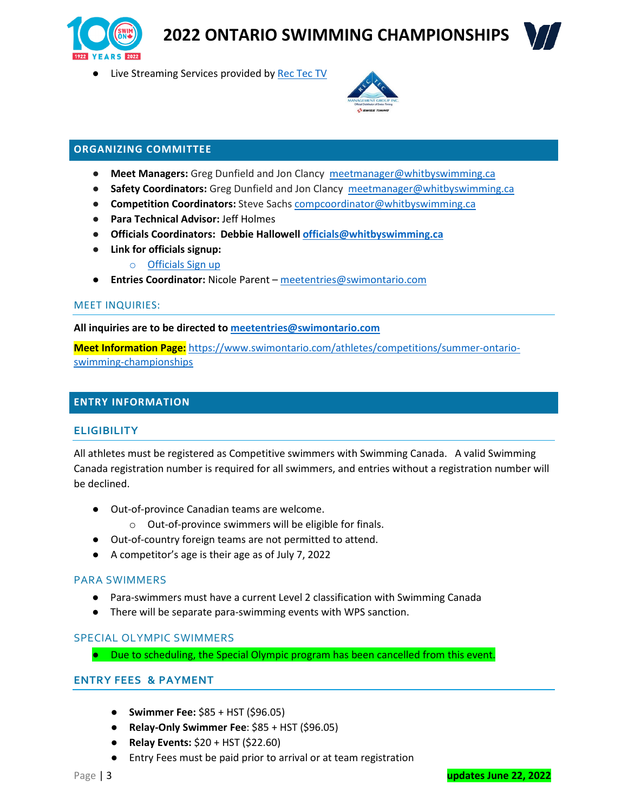



● Live Streaming Services provided b[y Rec Tec TV](http://www.rectectv.ca/)



### **ORGANIZING COMMITTEE**

- **Meet Managers:** Greg Dunfield and Jon Clancy [meetmanager@whitbyswimming.ca](mailto:meetmanager@whitbyswimming.ca)
- **Safety Coordinators:** Greg Dunfield and Jon Clancy [meetmanager@whitbyswimming.ca](mailto:meetmanager@whitbyswimming.ca)
- **Competition Coordinators:** Steve Sachs [compcoordinator@whitbyswimming.ca](mailto:compcoordinator@whitbyswimming.ca)
- **Para Technical Advisor:** Jeff Holmes
- **Officials Coordinators: Debbie Hallowell [officials@whitbyswimming.ca](mailto:officials@whitbyswimming.ca)**
- **Link for officials signup:**
	- o [Officials Sign up](https://docs.google.com/forms/d/1K_kw1xek2qP9kB6JJPkt6JDfWieacVs8yu2PEO606jY/edit?usp=sharing)
- **Entries Coordinator:** Nicole Parent [meetentries@swimontario.com](mailto:meetentries@swimontario.com)

#### MEET INQUIRIES:

**All inquiries are to be directed to [meetentries@swimontario.com](mailto:meetentries@swimontario.com)**

**Meet Information Page:** [https://www.swimontario.com/athletes/competitions/summer-ontario](https://www.swimontario.com/athletes/competitions/summer-ontario-swimming-championships)[swimming-championships](https://www.swimontario.com/athletes/competitions/summer-ontario-swimming-championships)

### **ENTRY INFORMATION**

#### **ELIGIBILITY**

All athletes must be registered as Competitive swimmers with Swimming Canada. A valid Swimming Canada registration number is required for all swimmers, and entries without a registration number will be declined.

- Out-of-province Canadian teams are welcome.
	- o Out-of-province swimmers will be eligible for finals.
- Out-of-country foreign teams are not permitted to attend.
- A competitor's age is their age as of July 7, 2022

#### PARA SWIMMERS

- Para-swimmers must have a current Level 2 classification with Swimming Canada
- There will be separate para-swimming events with WPS sanction.

# SPECIAL OLYMPIC SWIMMERS

● Due to scheduling, the Special Olympic program has been cancelled from this event.

# **ENTRY FEES & PAYMENT**

- **Swimmer Fee:** \$85 + HST (\$96.05)
- **Relay-Only Swimmer Fee**: \$85 + HST (\$96.05)
- **Relay Events:** \$20 + HST (\$22.60)
- Entry Fees must be paid prior to arrival or at team registration

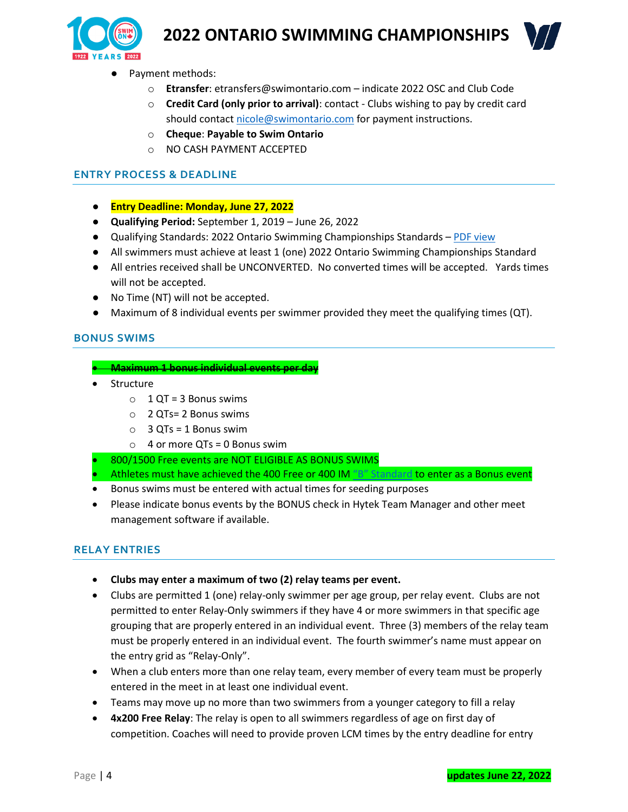



- Payment methods:
	- o **Etransfer**: etransfers@swimontario.com indicate 2022 OSC and Club Code
	- o **Credit Card (only prior to arrival)**: contact Clubs wishing to pay by credit card should contac[t nicole@swimontario.com](mailto:nicole@swimontario.com) for payment instructions.
	- o **Cheque**: **Payable to Swim Ontario**
	- o NO CASH PAYMENT ACCEPTED

### **ENTRY PROCESS & DEADLINE**

- **Entry Deadline: Monday, June 27, 2022**
- **Qualifying Period:** September 1, 2019 June 26, 2022
- Qualifying Standards: 2022 Ontario Swimming Championships Standards [PDF view](https://drive.google.com/file/d/1aSzWkIu5v4d3h8FG4aiKpBjE63btHQZN/view)
- All swimmers must achieve at least 1 (one) 2022 Ontario Swimming Championships Standard
- All entries received shall be UNCONVERTED. No converted times will be accepted. Yards times will not be accepted.
- No Time (NT) will not be accepted.
- Maximum of 8 individual events per swimmer provided they meet the qualifying times (QT).

### **BONUS SWIMS**

#### • **Maximum 1 bonus individual events per day**

- Structure
	- $O$  1 QT = 3 Bonus swims
	- o 2 QTs= 2 Bonus swims
	- $O$  3 QTs = 1 Bonus swim
	- $\circ$  4 or more QTs = 0 Bonus swim
- 800/1500 Free events are NOT ELIGIBLE AS BONUS SWIMS
- Athletes must have achieved the 400 Free or 400 IM "B" [Standard](https://drive.google.com/file/d/1aSlNnI41GxMd0D77HuGG7FwNx2oeCUPu/view) to enter as a Bonus event
- Bonus swims must be entered with actual times for seeding purposes
- Please indicate bonus events by the BONUS check in Hytek Team Manager and other meet management software if available.

# **RELAY ENTRIES**

- **Clubs may enter a maximum of two (2) relay teams per event.**
- Clubs are permitted 1 (one) relay-only swimmer per age group, per relay event. Clubs are not permitted to enter Relay-Only swimmers if they have 4 or more swimmers in that specific age grouping that are properly entered in an individual event. Three (3) members of the relay team must be properly entered in an individual event. The fourth swimmer's name must appear on the entry grid as "Relay-Only".
- When a club enters more than one relay team, every member of every team must be properly entered in the meet in at least one individual event.
- Teams may move up no more than two swimmers from a younger category to fill a relay
- **4x200 Free Relay**: The relay is open to all swimmers regardless of age on first day of competition. Coaches will need to provide proven LCM times by the entry deadline for entry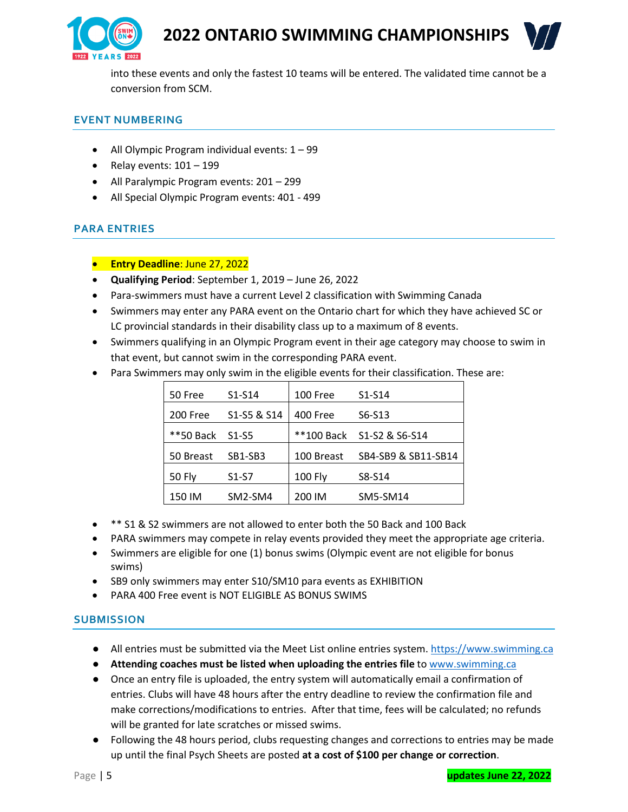



into these events and only the fastest 10 teams will be entered. The validated time cannot be a conversion from SCM.

# **EVENT NUMBERING**

- All Olympic Program individual events: 1 99
- Relay events:  $101 199$
- All Paralympic Program events: 201 299
- All Special Olympic Program events: 401 499

# **PARA ENTRIES**

- **Entry Deadline**: June 27, 2022
- **Qualifying Period**: September 1, 2019 June 26, 2022
- Para-swimmers must have a current Level 2 classification with Swimming Canada
- Swimmers may enter any PARA event on the Ontario chart for which they have achieved SC or LC provincial standards in their disability class up to a maximum of 8 events.
- Swimmers qualifying in an Olympic Program event in their age category may choose to swim in that event, but cannot swim in the corresponding PARA event.
- Para Swimmers may only swim in the eligible events for their classification. These are:

| 50 Free       | $S1-S14$    | 100 Free       | $S1-S14$                  |
|---------------|-------------|----------------|---------------------------|
| 200 Free      | S1-S5 & S14 | 400 Free       | S6-S13                    |
| **50 Back     | S1-S5       |                | **100 Back S1-S2 & S6-S14 |
| 50 Breast     | SB1-SB3     | 100 Breast     | SB4-SB9 & SB11-SB14       |
| <b>50 Fly</b> | $S1-S7$     | <b>100 Fly</b> | S8-S14                    |
| 150 IM        | SM2-SM4     | 200 IM         | SM5-SM14                  |

- \*\* S1 & S2 swimmers are not allowed to enter both the 50 Back and 100 Back
- PARA swimmers may compete in relay events provided they meet the appropriate age criteria.
- Swimmers are eligible for one (1) bonus swims (Olympic event are not eligible for bonus swims)
- SB9 only swimmers may enter S10/SM10 para events as EXHIBITION
- PARA 400 Free event is NOT ELIGIBLE AS BONUS SWIMS

# **SUBMISSION**

- All entries must be submitted via the Meet List online entries system. [https://www.swimming.ca](https://www.swimming.ca/)
- **Attending coaches must be listed when uploading the entries file** to [www.swimming.ca](http://www.swimming.ca/)
- Once an entry file is uploaded, the entry system will automatically email a confirmation of entries. Clubs will have 48 hours after the entry deadline to review the confirmation file and make corrections/modifications to entries. After that time, fees will be calculated; no refunds will be granted for late scratches or missed swims.
- Following the 48 hours period, clubs requesting changes and corrections to entries may be made up until the final Psych Sheets are posted **at a cost of \$100 per change or correction**.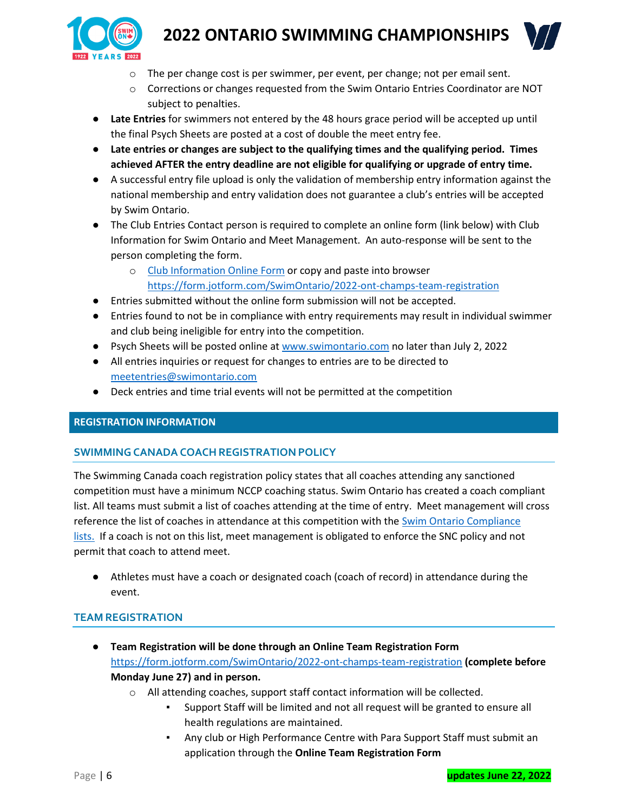

- o The per change cost is per swimmer, per event, per change; not per email sent.
- o Corrections or changes requested from the Swim Ontario Entries Coordinator are NOT subject to penalties.
- **Late Entries** for swimmers not entered by the 48 hours grace period will be accepted up until the final Psych Sheets are posted at a cost of double the meet entry fee.
- **Late entries or changes are subject to the qualifying times and the qualifying period. Times achieved AFTER the entry deadline are not eligible for qualifying or upgrade of entry time.**
- A successful entry file upload is only the validation of membership entry information against the national membership and entry validation does not guarantee a club's entries will be accepted by Swim Ontario.
- The Club Entries Contact person is required to complete an online form (link below) with Club Information for Swim Ontario and Meet Management. An auto-response will be sent to the person completing the form.
	- o [Club Information Online Form](https://form.jotform.com/SwimOntario/2022-ont-champs-team-registration) or copy and paste into browser <https://form.jotform.com/SwimOntario/2022-ont-champs-team-registration>
- Entries submitted without the online form submission will not be accepted.
- Entries found to not be in compliance with entry requirements may result in individual swimmer and club being ineligible for entry into the competition.
- Psych Sheets will be posted online at [www.swimontario.com](http://www.swimontario.com/) no later than July 2, 2022
- All entries inquiries or request for changes to entries are to be directed to [meetentries@swimontario.com](mailto:meetentries@swimontario.com)
- Deck entries and time trial events will not be permitted at the competition

#### **REGISTRATION INFORMATION**

#### **SWIMMINGCANADACOACHREGISTRATION POLICY**

The Swimming Canada coach registration policy states that all coaches attending any sanctioned competition must have a minimum NCCP coaching status. Swim Ontario has created a coach compliant list. All teams must submit a list of coaches attending at the time of entry. Meet management will cross reference the list of coaches in attendance at this competition with the [Swim Ontario Compliance](https://www.swimontario.com/coaches/compliance)  [lists.](https://www.swimontario.com/coaches/compliance) If a coach is not on this list, meet management is obligated to enforce the SNC policy and not permit that coach to attend meet.

● Athletes must have a coach or designated coach (coach of record) in attendance during the event.

# **TEAM REGISTRATION**

- **Team Registration will be done through an [Online Team Registration Form](about:blank)** <https://form.jotform.com/SwimOntario/2022-ont-champs-team-registration> **(complete before Monday June 27) and in person.**
	- o All attending coaches, support staff contact information will be collected.
		- Support Staff will be limited and not all request will be granted to ensure all health regulations are maintained.
		- Any club or High Performance Centre with Para Support Staff must submit an application through the **[Online Team Registration Form](about:blank)**

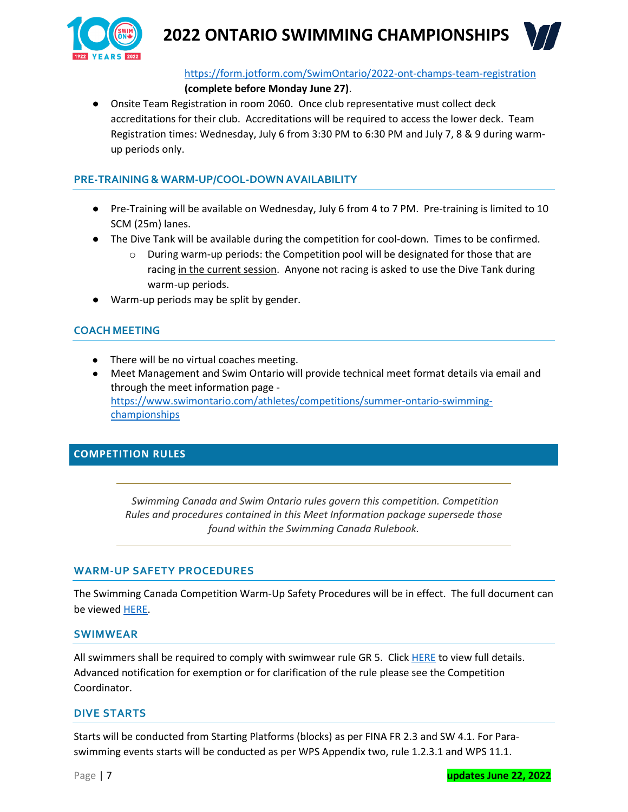



<https://form.jotform.com/SwimOntario/2022-ont-champs-team-registration>

### **(complete before Monday June 27)**.

● Onsite Team Registration in room 2060. Once club representative must collect deck accreditations for their club. Accreditations will be required to access the lower deck. Team Registration times: Wednesday, July 6 from 3:30 PM to 6:30 PM and July 7, 8 & 9 during warmup periods only.

### **PRE-TRAINING& WARM-UP/COOL-DOWN AVAILABILITY**

- Pre-Training will be available on Wednesday, July 6 from 4 to 7 PM. Pre-training is limited to 10 SCM (25m) lanes.
- The Dive Tank will be available during the competition for cool-down. Times to be confirmed.
	- $\circ$  During warm-up periods: the Competition pool will be designated for those that are racing in the current session. Anyone not racing is asked to use the Dive Tank during warm-up periods.
- Warm-up periods may be split by gender.

# **COACH MEETING**

- There will be no virtual coaches meeting.
- Meet Management and Swim Ontario will provide technical meet format details via email and through the meet information page [https://www.swimontario.com/athletes/competitions/summer-ontario-swimming](https://www.swimontario.com/athletes/competitions/summer-ontario-swimming-championships)[championships](https://www.swimontario.com/athletes/competitions/summer-ontario-swimming-championships)

# **COMPETITION RULES**

*Swimming Canada and Swim Ontario rules govern this competition. Competition Rules and procedures contained in this Meet Information package supersede those found within the Swimming Canada Rulebook.*

#### **WARM-UP SAFETY PROCEDURES**

The Swimming Canada Competition Warm-Up Safety Procedures will be in effect. The full document can be viewed [HERE.](https://www.swimming.ca/en/resources/officiating/event-resources/competition-warm-up-safety-procedures/)

#### **SWIMWEAR**

All swimmers shall be required to comply with swimwear rule GR 5. Click [HERE](https://drive.google.com/file/d/1aIMdjBPI5YPe3_9Kqg--rg1RiqPGGZMK/view?usp=sharing) to view full details. Advanced notification for exemption or for clarification of the rule please see the Competition Coordinator.

# **DIVE STARTS**

Starts will be conducted from Starting Platforms (blocks) as per FINA FR 2.3 and SW 4.1. For Paraswimming events starts will be conducted as per WPS Appendix two, rule 1.2.3.1 and WPS 11.1.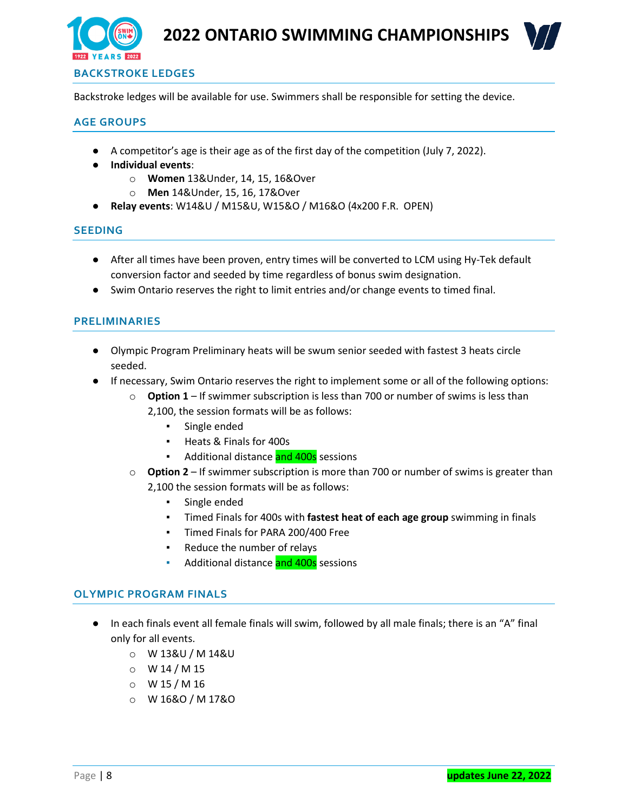



# **BACKSTROKE LEDGES**

Backstroke ledges will be available for use. Swimmers shall be responsible for setting the device.

#### **AGE GROUPS**

- A competitor's age is their age as of the first day of the competition (July 7, 2022).
- **Individual events**:
	- o **Women** 13&Under, 14, 15, 16&Over
	- o **Men** 14&Under, 15, 16, 17&Over
- **Relay events**: W14&U / M15&U, W15&O / M16&O (4x200 F.R. OPEN)

#### **SEEDING**

- After all times have been proven, entry times will be converted to LCM using Hy-Tek default conversion factor and seeded by time regardless of bonus swim designation.
- Swim Ontario reserves the right to limit entries and/or change events to timed final.

#### **PRELIMINARIES**

- Olympic Program Preliminary heats will be swum senior seeded with fastest 3 heats circle seeded.
- If necessary, Swim Ontario reserves the right to implement some or all of the following options:
	- o **Option 1** If swimmer subscription is less than 700 or number of swims is less than 2,100, the session formats will be as follows:
		- Single ended
		- Heats & Finals for 400s
		- **EXEC** Additional distance and 400s sessions
	- o **Option 2** If swimmer subscription is more than 700 or number of swims is greater than 2,100 the session formats will be as follows:
		- Single ended
		- Timed Finals for 400s with **fastest heat of each age group** swimming in finals
		- Timed Finals for PARA 200/400 Free
		- Reduce the number of relays
		- Additional distance and 400s sessions

#### **OLYMPIC PROGRAM FINALS**

- In each finals event all female finals will swim, followed by all male finals; there is an "A" final only for all events.
	- o W 13&U / M 14&U
	- $O$  W 14 / M 15
	- $O$  W 15 / M 16
	- o W 16&O / M 17&O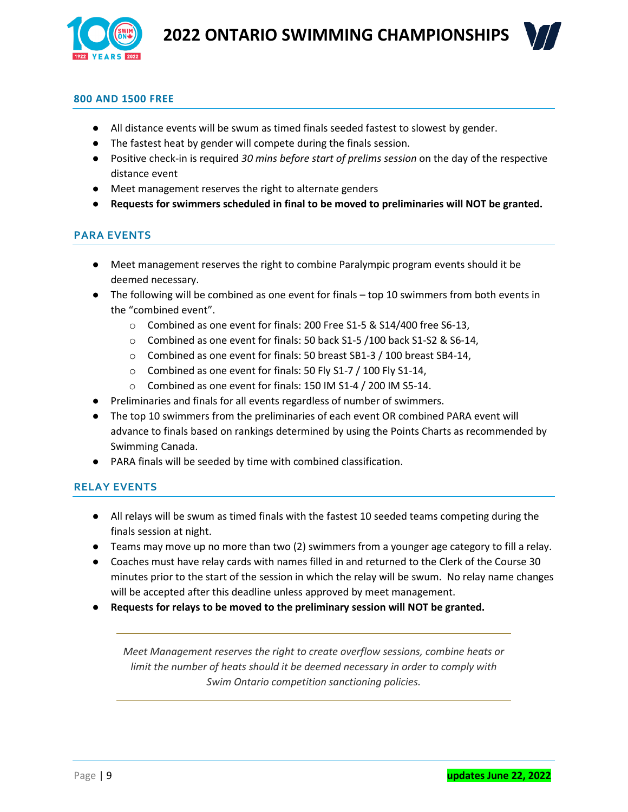



#### **800 AND 1500 FREE**

- All distance events will be swum as timed finals seeded fastest to slowest by gender.
- The fastest heat by gender will compete during the finals session.
- Positive check-in is required *30 mins before start of prelims session* on the day of the respective distance event
- Meet management reserves the right to alternate genders
- **Requests for swimmers scheduled in final to be moved to preliminaries will NOT be granted.**

# **PARA EVENTS**

- Meet management reserves the right to combine Paralympic program events should it be deemed necessary.
- The following will be combined as one event for finals top 10 swimmers from both events in the "combined event".
	- o Combined as one event for finals: 200 Free S1-5 & S14/400 free S6-13,
	- o Combined as one event for finals: 50 back S1-5 /100 back S1-S2 & S6-14,
	- o Combined as one event for finals: 50 breast SB1-3 / 100 breast SB4-14,
	- o Combined as one event for finals: 50 Fly S1-7 / 100 Fly S1-14,
	- o Combined as one event for finals: 150 IM S1-4 / 200 IM S5-14.
- Preliminaries and finals for all events regardless of number of swimmers.
- The top 10 swimmers from the preliminaries of each event OR combined PARA event will advance to finals based on rankings determined by using the Points Charts as recommended by Swimming Canada.
- PARA finals will be seeded by time with combined classification.

# **RELAY EVENTS**

- All relays will be swum as timed finals with the fastest 10 seeded teams competing during the finals session at night.
- Teams may move up no more than two (2) swimmers from a younger age category to fill a relay.
- Coaches must have relay cards with names filled in and returned to the Clerk of the Course 30 minutes prior to the start of the session in which the relay will be swum. No relay name changes will be accepted after this deadline unless approved by meet management.
- **Requests for relays to be moved to the preliminary session will NOT be granted.**

*Meet Management reserves the right to create overflow sessions, combine heats or limit the number of heats should it be deemed necessary in order to comply with Swim Ontario competition sanctioning policies.*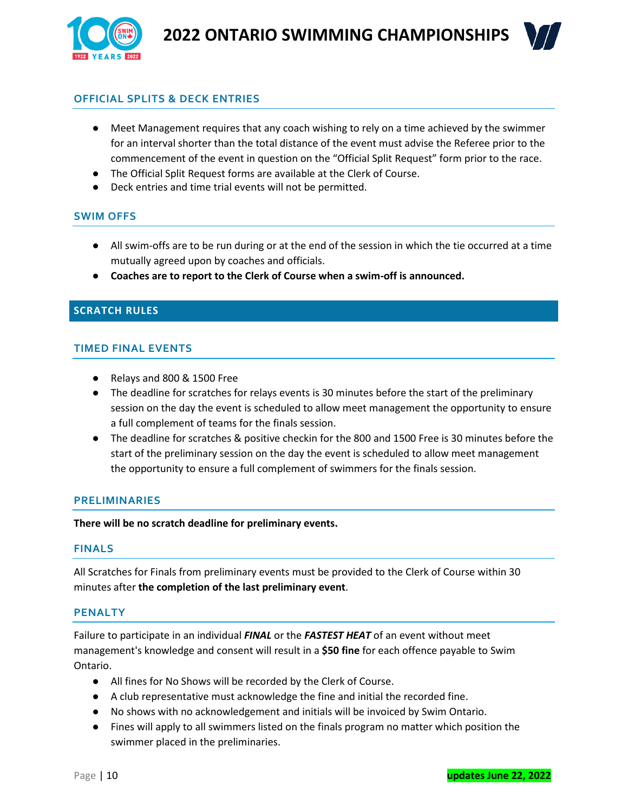



# **OFFICIAL SPLITS & DECK ENTRIES**

- Meet Management requires that any coach wishing to rely on a time achieved by the swimmer for an interval shorter than the total distance of the event must advise the Referee prior to the commencement of the event in question on the "Official Split Request" form prior to the race.
- The Official Split Request forms are available at the Clerk of Course.
- Deck entries and time trial events will not be permitted.

#### **SWIM OFFS**

- All swim-offs are to be run during or at the end of the session in which the tie occurred at a time mutually agreed upon by coaches and officials.
- **Coaches are to report to the Clerk of Course when a swim-off is announced.**

#### **SCRATCH RULES**

#### **TIMED FINAL EVENTS**

- Relays and 800 & 1500 Free
- The deadline for scratches for relays events is 30 minutes before the start of the preliminary session on the day the event is scheduled to allow meet management the opportunity to ensure a full complement of teams for the finals session.
- The deadline for scratches & positive checkin for the 800 and 1500 Free is 30 minutes before the start of the preliminary session on the day the event is scheduled to allow meet management the opportunity to ensure a full complement of swimmers for the finals session.

#### **PRELIMINARIES**

**There will be no scratch deadline for preliminary events.**

#### **FINALS**

All Scratches for Finals from preliminary events must be provided to the Clerk of Course within 30 minutes after **the completion of the last preliminary event**.

#### **PENALTY**

Failure to participate in an individual *FINAL* or the *FASTEST HEAT* of an event without meet management's knowledge and consent will result in a **\$50 fine** for each offence payable to Swim Ontario.

- All fines for No Shows will be recorded by the Clerk of Course.
- A club representative must acknowledge the fine and initial the recorded fine.
- No shows with no acknowledgement and initials will be invoiced by Swim Ontario.
- Fines will apply to all swimmers listed on the finals program no matter which position the swimmer placed in the preliminaries.

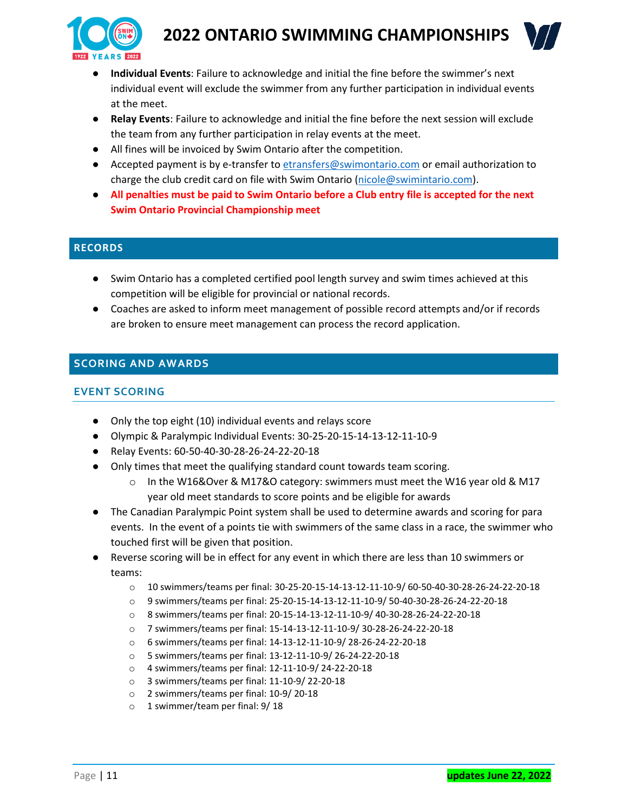



- **Individual Events**: Failure to acknowledge and initial the fine before the swimmer's next individual event will exclude the swimmer from any further participation in individual events at the meet.
- **Relay Events**: Failure to acknowledge and initial the fine before the next session will exclude the team from any further participation in relay events at the meet.
- All fines will be invoiced by Swim Ontario after the competition.
- Accepted payment is by e-transfer to [etransfers@swimontario.com](mailto:etransfers@swimontario.com) or email authorization to charge the club credit card on file with Swim Ontario [\(nicole@swimintario.com\)](mailto:nicole@swimintario.com).
- **All penalties must be paid to Swim Ontario before a Club entry file is accepted for the next Swim Ontario Provincial Championship meet**

# **RECORDS**

- Swim Ontario has a completed certified pool length survey and swim times achieved at this competition will be eligible for provincial or national records.
- Coaches are asked to inform meet management of possible record attempts and/or if records are broken to ensure meet management can process the record application.

# **SCORING AND AWARDS**

# **EVENT SCORING**

- Only the top eight (10) individual events and relays score
- Olympic & Paralympic Individual Events: 30-25-20-15-14-13-12-11-10-9
- Relay Events: 60-50-40-30-28-26-24-22-20-18
- Only times that meet the qualifying standard count towards team scoring.
	- $\circ$  In the W16&Over & M17&O category: swimmers must meet the W16 year old & M17 year old meet standards to score points and be eligible for awards
- The Canadian Paralympic Point system shall be used to determine awards and scoring for para events. In the event of a points tie with swimmers of the same class in a race, the swimmer who touched first will be given that position.
- Reverse scoring will be in effect for any event in which there are less than 10 swimmers or teams:
	- o 10 swimmers/teams per final: 30-25-20-15-14-13-12-11-10-9/ 60-50-40-30-28-26-24-22-20-18
	- o 9 swimmers/teams per final: 25-20-15-14-13-12-11-10-9/ 50-40-30-28-26-24-22-20-18
	- o 8 swimmers/teams per final: 20-15-14-13-12-11-10-9/ 40-30-28-26-24-22-20-18
	- o 7 swimmers/teams per final: 15-14-13-12-11-10-9/ 30-28-26-24-22-20-18
	- o 6 swimmers/teams per final: 14-13-12-11-10-9/ 28-26-24-22-20-18
	- o 5 swimmers/teams per final: 13-12-11-10-9/ 26-24-22-20-18
	- o 4 swimmers/teams per final: 12-11-10-9/ 24-22-20-18
	- o 3 swimmers/teams per final: 11-10-9/ 22-20-18
	- o 2 swimmers/teams per final: 10-9/ 20-18
	- o 1 swimmer/team per final: 9/ 18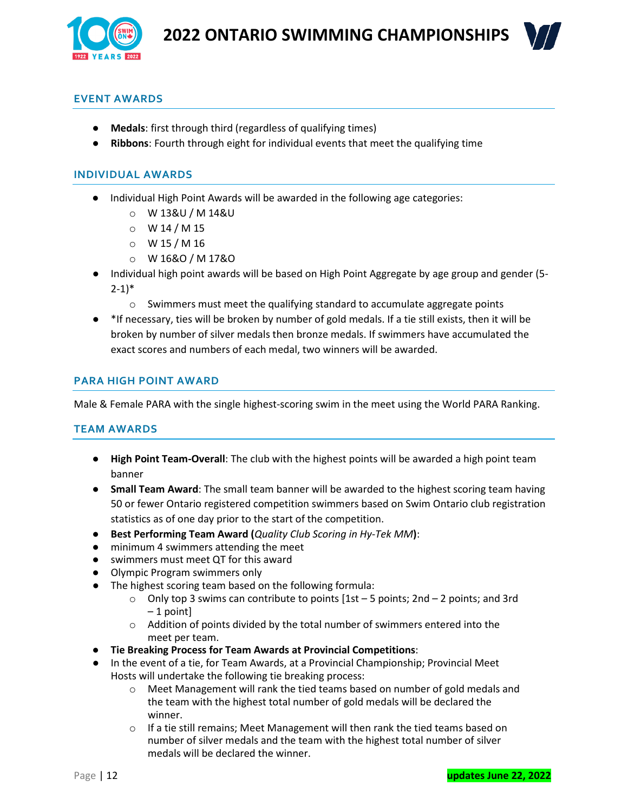



# **EVENT AWARDS**

- **Medals**: first through third (regardless of qualifying times)
- **Ribbons**: Fourth through eight for individual events that meet the qualifying time

### **INDIVIDUAL AWARDS**

- Individual High Point Awards will be awarded in the following age categories:
	- o W 13&U / M 14&U
	- $O$  W 14 / M 15
	- $O$  W 15 / M 16
	- o W 16&O / M 17&O
- Individual high point awards will be based on High Point Aggregate by age group and gender (5- $2-1)*$ 
	- o Swimmers must meet the qualifying standard to accumulate aggregate points
- \*If necessary, ties will be broken by number of gold medals. If a tie still exists, then it will be broken by number of silver medals then bronze medals. If swimmers have accumulated the exact scores and numbers of each medal, two winners will be awarded.

### **PARA HIGH POINT AWARD**

Male & Female PARA with the single highest-scoring swim in the meet using the World PARA Ranking.

#### **TEAM AWARDS**

- **High Point Team-Overall**: The club with the highest points will be awarded a high point team banner
- **Small Team Award**: The small team banner will be awarded to the highest scoring team having 50 or fewer Ontario registered competition swimmers based on Swim Ontario club registration statistics as of one day prior to the start of the competition.
- **Best Performing Team Award (***Quality Club Scoring in Hy-Tek MM***)**:
- minimum 4 swimmers attending the meet
- swimmers must meet QT for this award
- Olympic Program swimmers only
- The highest scoring team based on the following formula:
	- $\circ$  Only top 3 swims can contribute to points [1st 5 points; 2nd 2 points; and 3rd – 1 point]
	- o Addition of points divided by the total number of swimmers entered into the meet per team.
- **Tie Breaking Process for Team Awards at Provincial Competitions**:
- In the event of a tie, for Team Awards, at a Provincial Championship; Provincial Meet Hosts will undertake the following tie breaking process:
	- o Meet Management will rank the tied teams based on number of gold medals and the team with the highest total number of gold medals will be declared the winner.
	- $\circ$  If a tie still remains; Meet Management will then rank the tied teams based on number of silver medals and the team with the highest total number of silver medals will be declared the winner.

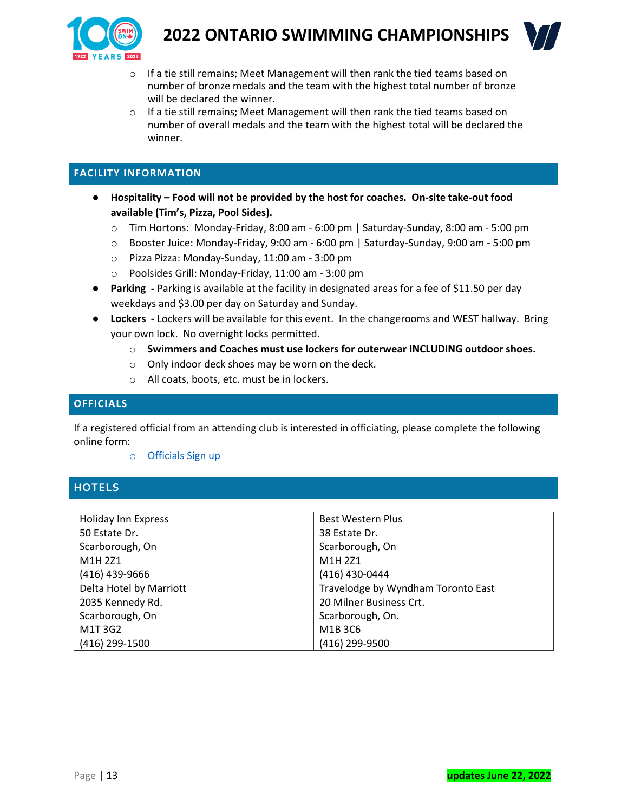



- o If a tie still remains; Meet Management will then rank the tied teams based on number of bronze medals and the team with the highest total number of bronze will be declared the winner.
- o If a tie still remains; Meet Management will then rank the tied teams based on number of overall medals and the team with the highest total will be declared the winner.

# **FACILITY INFORMATION**

- **Hospitality – Food will not be provided by the host for coaches. On-site take-out food available (Tim's, Pizza, Pool Sides).**
	- o Tim Hortons: Monday-Friday, 8:00 am 6:00 pm | Saturday-Sunday, 8:00 am 5:00 pm
	- o Booster Juice: Monday-Friday, 9:00 am 6:00 pm | Saturday-Sunday, 9:00 am 5:00 pm
	- o Pizza Pizza: Monday-Sunday, 11:00 am 3:00 pm
	- o Poolsides Grill: Monday-Friday, 11:00 am 3:00 pm
- **Parking -** Parking is available at the facility in designated areas for a fee of \$11.50 per day weekdays and \$3.00 per day on Saturday and Sunday.
- **Lockers -** Lockers will be available for this event. In the changerooms and WEST hallway. Bring your own lock. No overnight locks permitted.
	- o **Swimmers and Coaches must use lockers for outerwear INCLUDING outdoor shoes.**
	- o Only indoor deck shoes may be worn on the deck.
	- o All coats, boots, etc. must be in lockers.

# **OFFICIALS**

If a registered official from an attending club is interested in officiating, please complete the following online form:

o [Officials Sign up](https://docs.google.com/forms/d/1iPvXC1FyY7ANeQSPp48MDmeR-Bl4qbuiUIKGVjX5nDg/edit)

# **HOTELS**

| <b>Holiday Inn Express</b> | Best Western Plus                  |  |
|----------------------------|------------------------------------|--|
| 50 Estate Dr.              | 38 Estate Dr.                      |  |
| Scarborough, On            | Scarborough, On                    |  |
| M1H 2Z1                    | M1H 2Z1                            |  |
| (416) 439-9666             | (416) 430-0444                     |  |
| Delta Hotel by Marriott    | Travelodge by Wyndham Toronto East |  |
| 2035 Kennedy Rd.           | 20 Milner Business Crt.            |  |
| Scarborough, On            | Scarborough, On.                   |  |
| M1T3G2                     | M1B 3C6                            |  |
| (416) 299-1500             | (416) 299-9500                     |  |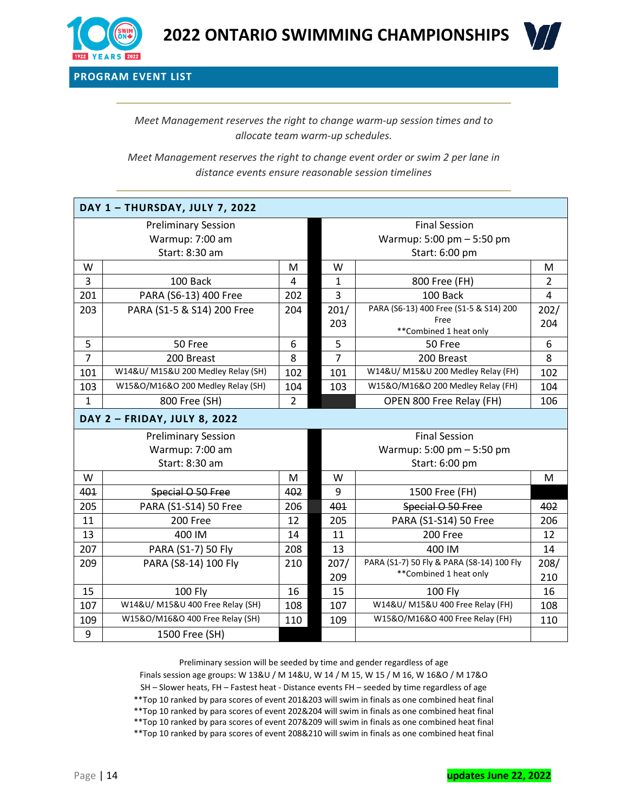



**PROGRAM EVENT LIST**

*Meet Management reserves the right to change warm-up session times and to allocate team warm-up schedules.*

*Meet Management reserves the right to change event order or swim 2 per lane in distance events ensure reasonable session timelines*

| DAY 1 - THURSDAY, JULY 7, 2022 |                                    |                           |                           |                                           |                |  |  |
|--------------------------------|------------------------------------|---------------------------|---------------------------|-------------------------------------------|----------------|--|--|
| <b>Preliminary Session</b>     |                                    |                           | <b>Final Session</b>      |                                           |                |  |  |
| Warmup: 7:00 am                |                                    |                           | Warmup: 5:00 pm - 5:50 pm |                                           |                |  |  |
| Start: 8:30 am                 |                                    |                           | Start: 6:00 pm            |                                           |                |  |  |
| W                              |                                    | M                         | W                         |                                           | M              |  |  |
| 3                              | 100 Back                           | 4                         | 1                         | 800 Free (FH)                             | $\overline{2}$ |  |  |
| 201                            | PARA (S6-13) 400 Free              | 202                       | 3                         | 100 Back                                  | 4              |  |  |
| 203                            | PARA (S1-5 & S14) 200 Free         | 204                       | 201/                      | PARA (S6-13) 400 Free (S1-5 & S14) 200    | 202/           |  |  |
|                                |                                    |                           | 203                       | Free<br>**Combined 1 heat only            | 204            |  |  |
| 5                              | 50 Free                            | 6                         | 5                         | 50 Free                                   | 6              |  |  |
| $\overline{7}$                 | 200 Breast                         | 8                         | $\overline{7}$            | 200 Breast                                | 8              |  |  |
| 101                            | W14&U/ M15&U 200 Medley Relay (SH) | 102                       | 101                       | W14&U/ M15&U 200 Medley Relay (FH)        | 102            |  |  |
| 103                            | W15&O/M16&O 200 Medley Relay (SH)  | 104                       | 103                       | W15&O/M16&O 200 Medley Relay (FH)         | 104            |  |  |
| $\mathbf{1}$                   | 800 Free (SH)                      | $\overline{2}$            |                           | OPEN 800 Free Relay (FH)                  | 106            |  |  |
| DAY 2 - FRIDAY, JULY 8, 2022   |                                    |                           |                           |                                           |                |  |  |
| <b>Preliminary Session</b>     |                                    | <b>Final Session</b>      |                           |                                           |                |  |  |
| Warmup: 7:00 am                |                                    | Warmup: 5:00 pm - 5:50 pm |                           |                                           |                |  |  |
| Start: 8:30 am                 |                                    |                           | Start: 6:00 pm            |                                           |                |  |  |
| W                              |                                    | M                         | W                         |                                           | M              |  |  |
| 401                            | Special O 50 Free                  | 402                       | 9                         | 1500 Free (FH)                            |                |  |  |
| 205                            | PARA (S1-S14) 50 Free              | 206                       | 401                       | Special O 50 Free                         | 402            |  |  |
| 11                             | 200 Free                           | 12                        | 205                       | PARA (S1-S14) 50 Free                     | 206            |  |  |
| 13                             | 400 IM                             | 14                        | 11                        | 200 Free                                  | 12             |  |  |
| 207                            | PARA (S1-7) 50 Fly                 | 208                       | 13                        | 400 IM                                    | 14             |  |  |
| 209                            | PARA (S8-14) 100 Fly               | 210                       | 207/                      | PARA (S1-7) 50 Fly & PARA (S8-14) 100 Fly | 208/           |  |  |
|                                |                                    |                           | 209                       | **Combined 1 heat only                    | 210            |  |  |
| 15                             | <b>100 Fly</b>                     | 16                        | 15                        | <b>100 Fly</b>                            | 16             |  |  |
| 107                            | W14&U/ M15&U 400 Free Relay (SH)   | 108                       | 107                       | W14&U/ M15&U 400 Free Relay (FH)          | 108            |  |  |
| 109                            | W15&O/M16&O 400 Free Relay (SH)    | 110                       | 109                       | W15&O/M16&O 400 Free Relay (FH)           | 110            |  |  |
| 9                              | 1500 Free (SH)                     |                           |                           |                                           |                |  |  |

Preliminary session will be seeded by time and gender regardless of age Finals session age groups: W 13&U / M 14&U, W 14 / M 15, W 15 / M 16, W 16&O / M 17&O SH – Slower heats, FH – Fastest heat - Distance events FH – seeded by time regardless of age \*\*Top 10 ranked by para scores of event 201&203 will swim in finals as one combined heat final \*\*Top 10 ranked by para scores of event 202&204 will swim in finals as one combined heat final \*\*Top 10 ranked by para scores of event 207&209 will swim in finals as one combined heat final

\*\*Top 10 ranked by para scores of event 208&210 will swim in finals as one combined heat final